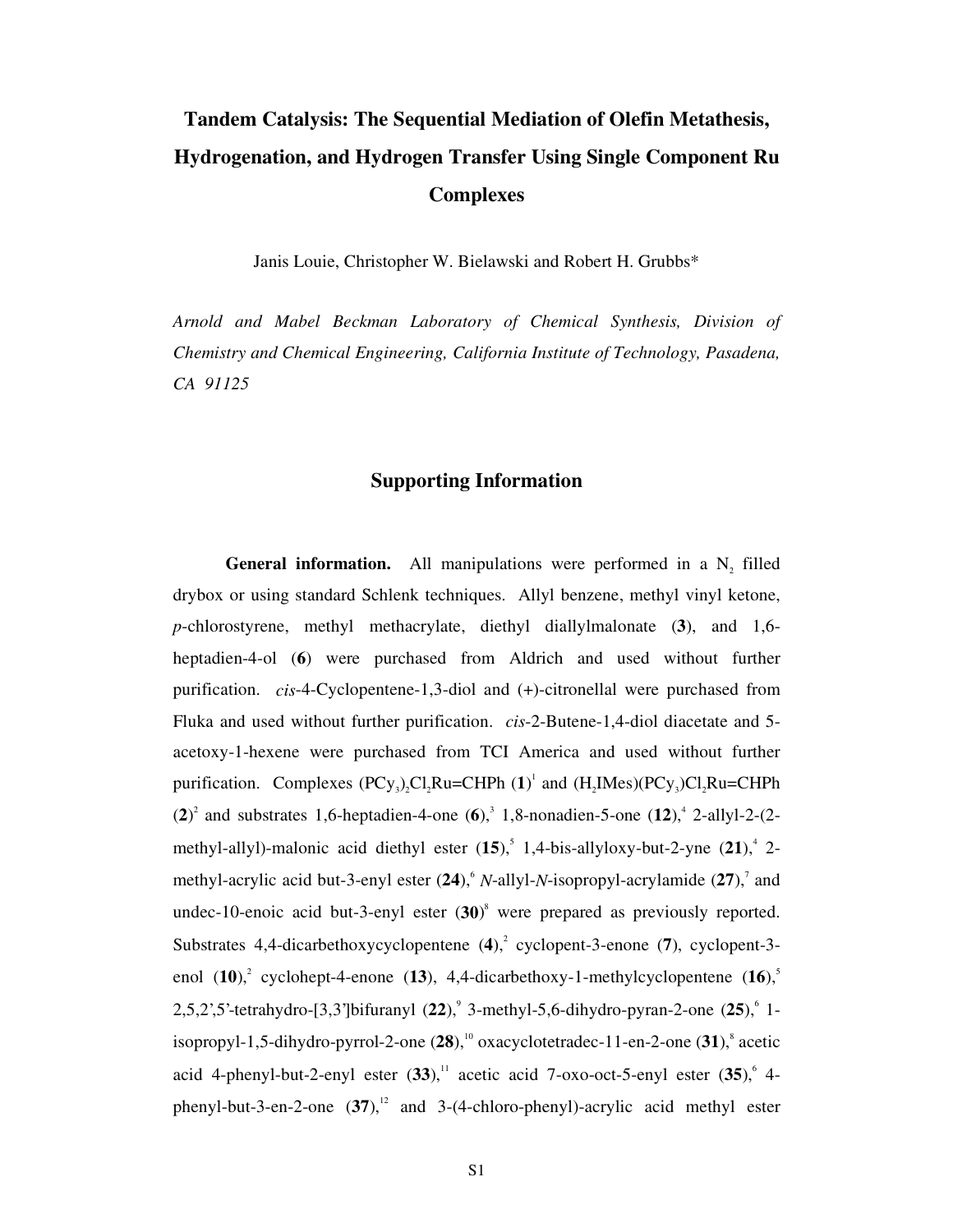## **Tandem Catalysis: The Sequential Mediation of Olefin Metathesis, Hydrogenation, and Hydrogen Transfer Using Single Component Ru Complexes**

Janis Louie, Christopher W. Bielawski and Robert H. Grubbs\*

*Arnold and Mabel Beckman Laboratory of Chemical Synthesis, Division of Chemistry and Chemical Engineering, California Institute of Technology, Pasadena, CA 91125* 

## **Supporting Information**

**General information.** All manipulations were performed in a  $N_2$  filled drybox or using standard Schlenk techniques. Allyl benzene, methyl vinyl ketone, *p*-chlorostyrene, methyl methacrylate, diethyl diallylmalonate (**3**), and 1,6 heptadien-4-ol (**6**) were purchased from Aldrich and used without further purification. *cis*-4-Cyclopentene-1,3-diol and (+)-citronellal were purchased from Fluka and used without further purification. *cis*-2-Butene-1,4-diol diacetate and 5 acetoxy-1-hexene were purchased from TCI America and used without further purification. Complexes  $(PCy_3)_2Cl_2Ru=CHPh (1)^1$  and  $(H_2IMes)(PCy_3)Cl_2Ru=CHPh$  $(2)^2$  and substrates 1,6-heptadien-4-one  $(6)^3$ , 1,8-nonadien-5-one  $(12)^4$ , 2-allyl-2- $(2$ methyl-allyl)-malonic acid diethyl ester  $(15)$ , 1,4-bis-allyloxy-but-2-yne  $(21)$ , 2methyl-acrylic acid but-3-enyl ester  $(24)$ , N-allyl-N-isopropyl-acrylamide  $(27)$ , and undec-10-enoic acid but-3-enyl ester (**30**) 8 were prepared as previously reported. Substrates 4,4-dicarbethoxycyclopentene (4),<sup>2</sup> cyclopent-3-enone (7), cyclopent-3enol  $(10)^2$ , cyclohept-4-enone  $(13)$ , 4,4-dicarbethoxy-1-methylcyclopentene  $(16)^5$ 2,5,2',5'-tetrahydro-[3,3']bifuranyl (22),<sup>9</sup> 3-methyl-5,6-dihydro-pyran-2-one (25),<sup>6</sup> 1isopropyl-1,5-dihydro-pyrrol-2-one (28),<sup>10</sup> oxacyclotetradec-11-en-2-one (31),<sup>8</sup> acetic acid 4-phenyl-but-2-enyl ester  $(33)$ ,<sup>11</sup> acetic acid 7-oxo-oct-5-enyl ester  $(35)$ , 4phenyl-but-3-en-2-one  $(37)$ ,<sup>12</sup> and 3-(4-chloro-phenyl)-acrylic acid methyl ester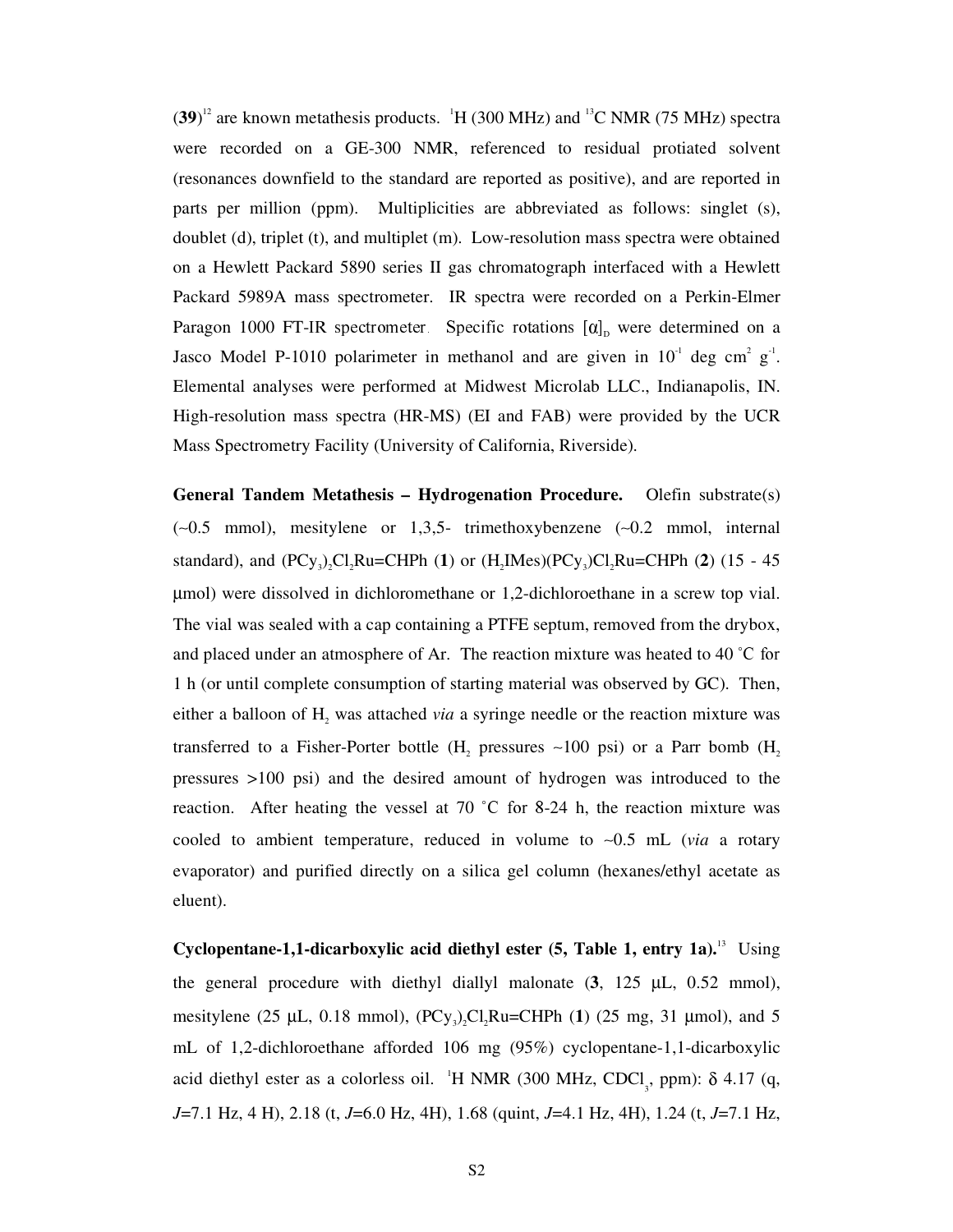$(39)^{12}$  are known metathesis products.  $H(300 \text{ MHz})$  and  $H(75 \text{ MHz})$  spectra were recorded on a GE-300 NMR, referenced to residual protiated solvent (resonances downfield to the standard are reported as positive), and are reported in parts per million (ppm). Multiplicities are abbreviated as follows: singlet (s), doublet (d), triplet (t), and multiplet (m). Low-resolution mass spectra were obtained on a Hewlett Packard 5890 series II gas chromatograph interfaced with a Hewlett Packard 5989A mass spectrometer. IR spectra were recorded on a Perkin-Elmer Paragon 1000 FT-IR spectrometer. Specific rotations  $[\alpha]_p$  were determined on a Jasco Model P-1010 polarimeter in methanol and are given in  $10^{-1}$  deg cm<sup>2</sup> g<sup>-1</sup>. Elemental analyses were performed at Midwest Microlab LLC., Indianapolis, IN. High-resolution mass spectra (HR-MS) (EI and FAB) were provided by the UCR Mass Spectrometry Facility (University of California, Riverside).

**General Tandem Metathesis – Hydrogenation Procedure.** Olefin substrate(s) (∼0.5 mmol), mesitylene or 1,3,5- trimethoxybenzene (∼0.2 mmol, internal standard), and  $(PCy_3)_2Cl_2Ru=CHPh (1)$  or  $(H_2IMes)(PCy_3)Cl_2Ru=CHPh (2) (15 - 45)$ µmol) were dissolved in dichloromethane or 1,2-dichloroethane in a screw top vial. The vial was sealed with a cap containing a PTFE septum, removed from the drybox, and placed under an atmosphere of Ar. The reaction mixture was heated to 40  $\degree$ C for 1 h (or until complete consumption of starting material was observed by GC). Then, either a balloon of  $H_2$  was attached *via* a syringe needle or the reaction mixture was transferred to a Fisher-Porter bottle (H, pressures  $~100$  psi) or a Parr bomb (H, pressures >100 psi) and the desired amount of hydrogen was introduced to the reaction. After heating the vessel at 70  $\degree$ C for 8-24 h, the reaction mixture was cooled to ambient temperature, reduced in volume to ∼0.5 mL (*via* a rotary evaporator) and purified directly on a silica gel column (hexanes/ethyl acetate as eluent).

**Cyclopentane-1,1-dicarboxylic acid diethyl ester (5, Table 1, entry 1a).**13 Using the general procedure with diethyl diallyl malonate (**3**, 125 µL, 0.52 mmol), mesitylene (25  $\mu$ L, 0.18 mmol), (PCy<sub>3</sub>)<sub>2</sub>Cl<sub>2</sub>Ru=CHPh (1) (25 mg, 31  $\mu$ mol), and 5 mL of 1,2-dichloroethane afforded 106 mg (95%) cyclopentane-1,1-dicarboxylic acid diethyl ester as a colorless oil. <sup>1</sup>H NMR (300 MHz, CDCl<sub>3</sub>, ppm):  $\delta$  4.17 (q, *J*=7.1 Hz, 4 H), 2.18 (t, *J*=6.0 Hz, 4H), 1.68 (quint, *J*=4.1 Hz, 4H), 1.24 (t, *J*=7.1 Hz,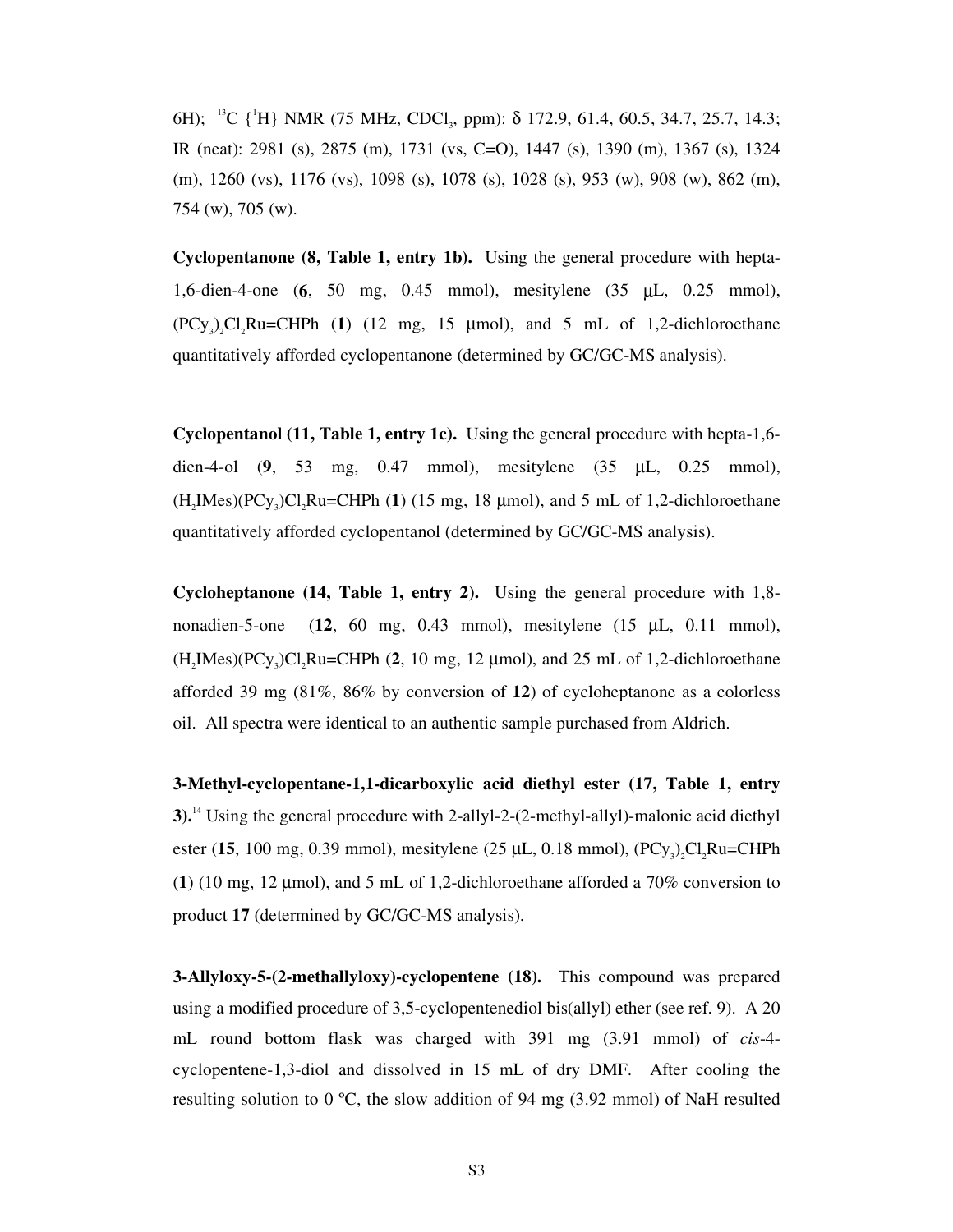6H); <sup>13</sup>C {<sup>1</sup>H} NMR (75 MHz, CDCl<sub>3</sub>, ppm): δ 172.9, 61.4, 60.5, 34.7, 25.7, 14.3; IR (neat): 2981 (s), 2875 (m), 1731 (vs, C=O), 1447 (s), 1390 (m), 1367 (s), 1324 (m), 1260 (vs), 1176 (vs), 1098 (s), 1078 (s), 1028 (s), 953 (w), 908 (w), 862 (m), 754 (w), 705 (w).

**Cyclopentanone (8, Table 1, entry 1b).** Using the general procedure with hepta-1,6-dien-4-one (**6**, 50 mg, 0.45 mmol), mesitylene (35 µL, 0.25 mmol),  $(PCy_3)$ , Cl<sub>3</sub>Ru=CHPh (1) (12 mg, 15 µmol), and 5 mL of 1,2-dichloroethane quantitatively afforded cyclopentanone (determined by GC/GC-MS analysis).

**Cyclopentanol (11, Table 1, entry 1c).** Using the general procedure with hepta-1,6 dien-4-ol (**9**, 53 mg, 0.47 mmol), mesitylene (35 µL, 0.25 mmol),  $(H_2$ IMes $)(PCy_3)Cl_2$ Ru=CHPh (1) (15 mg, 18  $\mu$ mol), and 5 mL of 1,2-dichloroethane quantitatively afforded cyclopentanol (determined by GC/GC-MS analysis).

**Cycloheptanone (14, Table 1, entry 2).** Using the general procedure with 1,8 nonadien-5-one (**12**, 60 mg, 0.43 mmol), mesitylene (15 µL, 0.11 mmol),  $(H, \text{Imes})(PCy)$ ,  $Cl, Ru=CHPh (2, 10 mg, 12 \mu mol)$ , and  $25 mL of 1, 2-dichloroethane$ afforded 39 mg (81%, 86% by conversion of **12**) of cycloheptanone as a colorless oil. All spectra were identical to an authentic sample purchased from Aldrich.

**3-Methyl-cyclopentane-1,1-dicarboxylic acid diethyl ester (17, Table 1, entry 3).**14 Using the general procedure with 2-allyl-2-(2-methyl-allyl)-malonic acid diethyl ester (15, 100 mg, 0.39 mmol), mesitylene (25  $\mu$ L, 0.18 mmol), (PCy<sub>3</sub>)<sub>2</sub>Cl<sub>2</sub>Ru=CHPh (**1**) (10 mg, 12 µmol), and 5 mL of 1,2-dichloroethane afforded a 70% conversion to product **17** (determined by GC/GC-MS analysis).

**3-Allyloxy-5-(2-methallyloxy)-cyclopentene (18).** This compound was prepared using a modified procedure of 3,5-cyclopentenediol bis(allyl) ether (see ref. 9). A 20 mL round bottom flask was charged with 391 mg (3.91 mmol) of *cis*-4 cyclopentene-1,3-diol and dissolved in 15 mL of dry DMF. After cooling the resulting solution to 0  $\degree$ C, the slow addition of 94 mg (3.92 mmol) of NaH resulted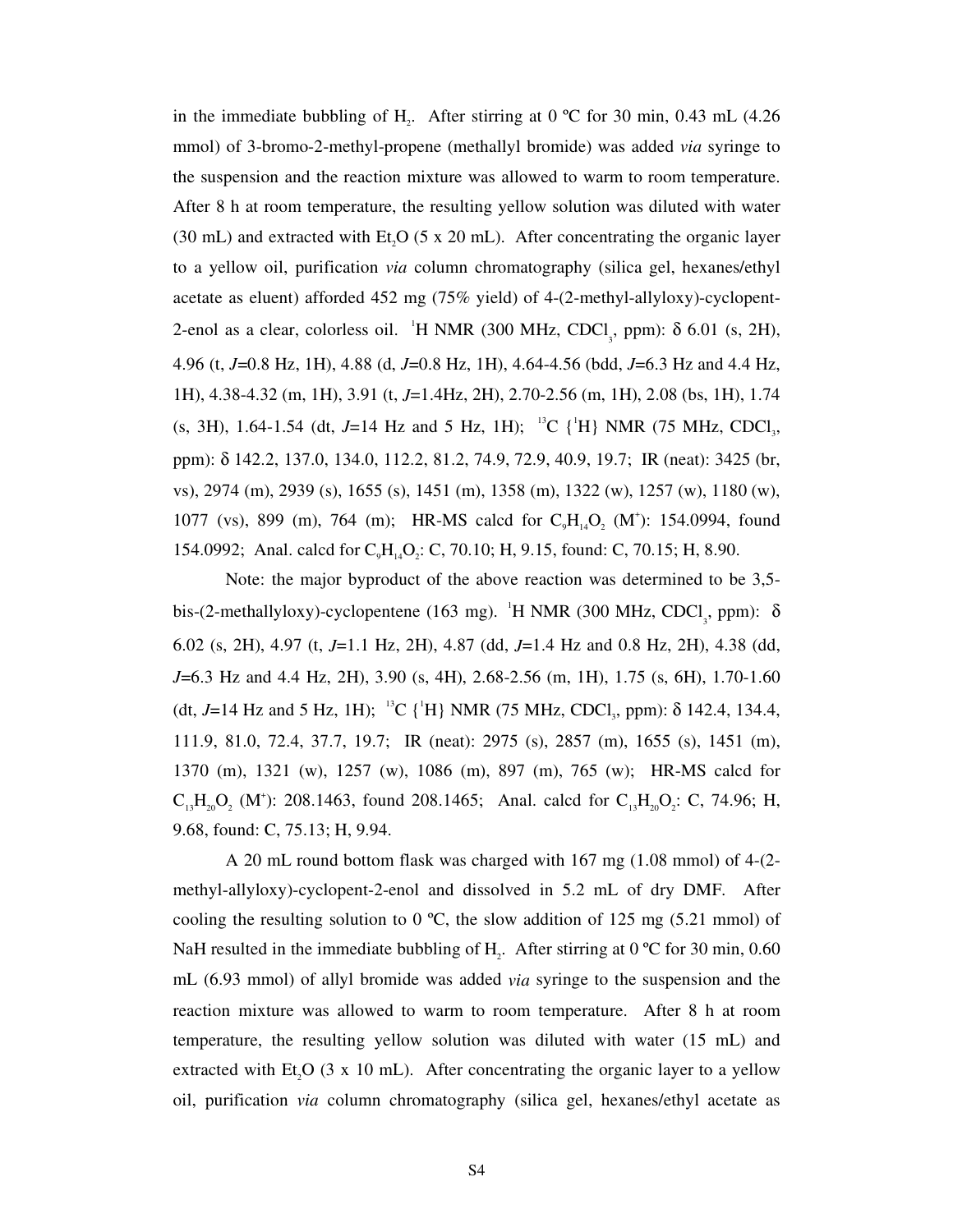in the immediate bubbling of  $H_2$ . After stirring at 0 °C for 30 min, 0.43 mL (4.26 mmol) of 3-bromo-2-methyl-propene (methallyl bromide) was added *via* syringe to the suspension and the reaction mixture was allowed to warm to room temperature. After 8 h at room temperature, the resulting yellow solution was diluted with water (30 mL) and extracted with Et,  $O(5 \times 20 \text{ mL})$ . After concentrating the organic layer to a yellow oil, purification *via* column chromatography (silica gel, hexanes/ethyl acetate as eluent) afforded 452 mg (75% yield) of 4-(2-methyl-allyloxy)-cyclopent-2-enol as a clear, colorless oil. <sup>1</sup>H NMR (300 MHz, CDCl<sub>3</sub>, ppm): δ 6.01 (s, 2H), 4.96 (t, *J*=0.8 Hz, 1H), 4.88 (d, *J*=0.8 Hz, 1H), 4.64-4.56 (bdd, *J*=6.3 Hz and 4.4 Hz, 1H), 4.38-4.32 (m, 1H), 3.91 (t, *J*=1.4Hz, 2H), 2.70-2.56 (m, 1H), 2.08 (bs, 1H), 1.74 (s, 3H), 1.64-1.54 (dt, J=14 Hz and 5 Hz, 1H); <sup>13</sup>C {<sup>1</sup>H} NMR (75 MHz, CDCl<sub>3</sub>, ppm): δ 142.2, 137.0, 134.0, 112.2, 81.2, 74.9, 72.9, 40.9, 19.7; IR (neat): 3425 (br, vs), 2974 (m), 2939 (s), 1655 (s), 1451 (m), 1358 (m), 1322 (w), 1257 (w), 1180 (w), 1077 (vs), 899 (m), 764 (m); HR-MS calcd for  $C_9H_{14}O_2$  (M<sup>+</sup>): 154.0994, found 154.0992; Anal. calcd for  $C_{a}H_{14}O_{2}$ : C, 70.10; H, 9.15, found: C, 70.15; H, 8.90.

Note: the major byproduct of the above reaction was determined to be 3,5 bis-(2-methallyloxy)-cyclopentene (163 mg). <sup>1</sup>H NMR (300 MHz, CDCl<sub>3</sub>, ppm):  $\delta$ 6.02 (s, 2H), 4.97 (t, *J*=1.1 Hz, 2H), 4.87 (dd, *J*=1.4 Hz and 0.8 Hz, 2H), 4.38 (dd, *J*=6.3 Hz and 4.4 Hz, 2H), 3.90 (s, 4H), 2.68-2.56 (m, 1H), 1.75 (s, 6H), 1.70-1.60 (dt, J=14 Hz and 5 Hz, 1H); <sup>13</sup>C {<sup>1</sup>H} NMR (75 MHz, CDCl<sub>3</sub>, ppm):  $\delta$  142.4, 134.4, 111.9, 81.0, 72.4, 37.7, 19.7; IR (neat): 2975 (s), 2857 (m), 1655 (s), 1451 (m), 1370 (m), 1321 (w), 1257 (w), 1086 (m), 897 (m), 765 (w); HR-MS calcd for  $C_{13}H_{20}O_2$  (M<sup>+</sup>): 208.1463, found 208.1465; Anal. calcd for  $C_{13}H_{20}O_2$ : C, 74.96; H, 9.68, found: C, 75.13; H, 9.94.

A 20 mL round bottom flask was charged with 167 mg (1.08 mmol) of 4-(2 methyl-allyloxy)-cyclopent-2-enol and dissolved in 5.2 mL of dry DMF. After cooling the resulting solution to 0  $^{\circ}$ C, the slow addition of 125 mg (5.21 mmol) of NaH resulted in the immediate bubbling of H<sub>2</sub>. After stirring at 0  $\degree$ C for 30 min, 0.60 mL (6.93 mmol) of allyl bromide was added *via* syringe to the suspension and the reaction mixture was allowed to warm to room temperature. After 8 h at room temperature, the resulting yellow solution was diluted with water (15 mL) and extracted with  $Et_2O$  (3 x 10 mL). After concentrating the organic layer to a yellow oil, purification *via* column chromatography (silica gel, hexanes/ethyl acetate as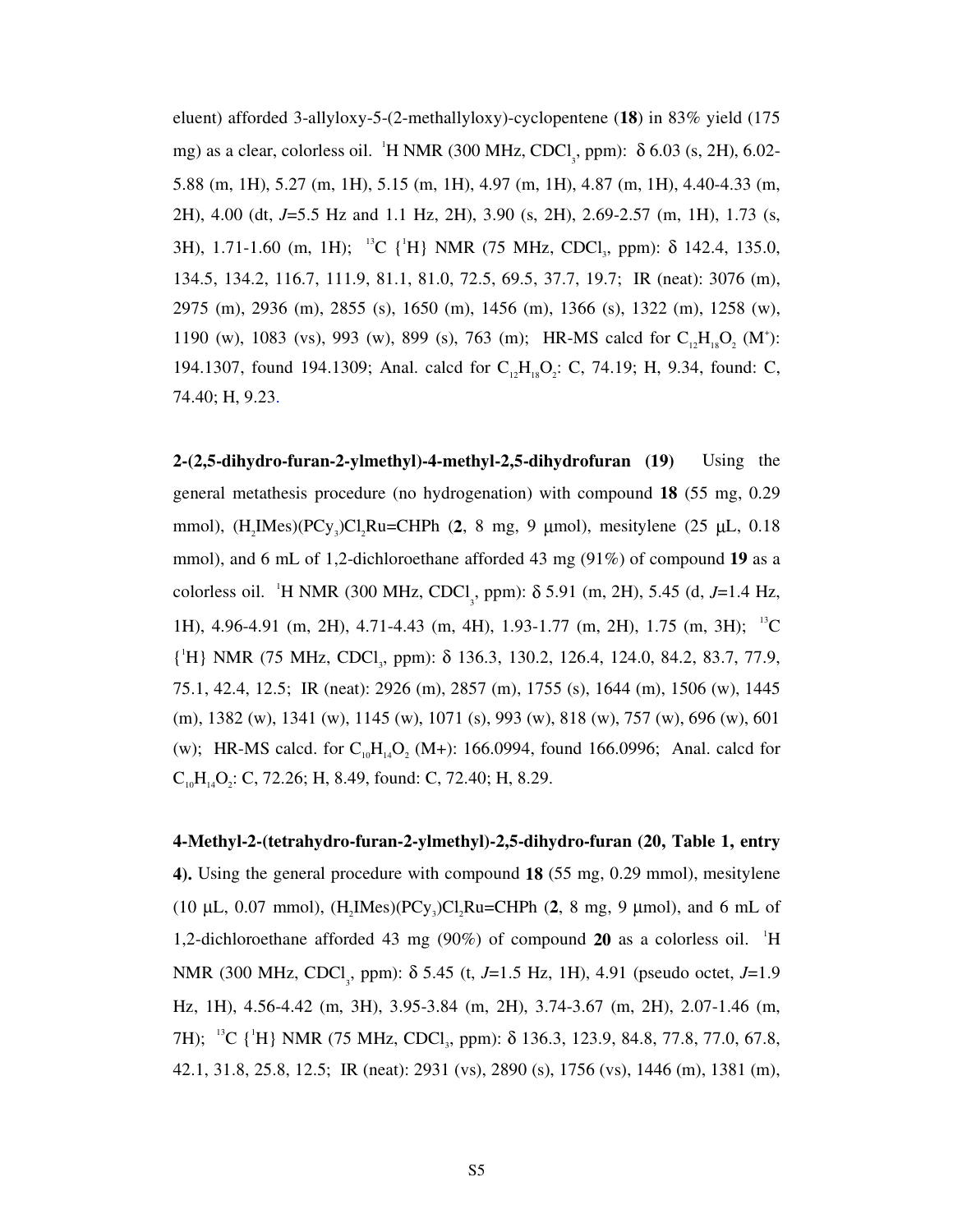eluent) afforded 3-allyloxy-5-(2-methallyloxy)-cyclopentene (**18**) in 83% yield (175 mg) as a clear, colorless oil. <sup>1</sup>H NMR (300 MHz, CDCl<sub>3</sub>, ppm): δ 6.03 (s, 2H), 6.02-5.88 (m, 1H), 5.27 (m, 1H), 5.15 (m, 1H), 4.97 (m, 1H), 4.87 (m, 1H), 4.40-4.33 (m, 2H), 4.00 (dt, *J*=5.5 Hz and 1.1 Hz, 2H), 3.90 (s, 2H), 2.69-2.57 (m, 1H), 1.73 (s, 3H), 1.71-1.60 (m, 1H); <sup>13</sup>C {<sup>1</sup>H} NMR (75 MHz, CDCl<sub>3</sub>, ppm):  $\delta$  142.4, 135.0, 134.5, 134.2, 116.7, 111.9, 81.1, 81.0, 72.5, 69.5, 37.7, 19.7; IR (neat): 3076 (m), 2975 (m), 2936 (m), 2855 (s), 1650 (m), 1456 (m), 1366 (s), 1322 (m), 1258 (w), 1190 (w), 1083 (vs), 993 (w), 899 (s), 763 (m); HR-MS calcd for  $C_{12}H_{18}O_2$  (M<sup>+</sup>): 194.1307, found 194.1309; Anal. calcd for  $C_{12}H_{18}O_2$ : C, 74.19; H, 9.34, found: C, 74.40; H, 9.23.

**2-(2,5-dihydro-furan-2-ylmethyl)-4-methyl-2,5-dihydrofuran (19)** Using the general metathesis procedure (no hydrogenation) with compound **18** (55 mg, 0.29 mmol), (H<sub>2</sub>IMes)(PCy<sub>3</sub>)Cl<sub>2</sub>Ru=CHPh (2, 8 mg, 9 μmol), mesitylene (25 μL, 0.18 mmol), and 6 mL of 1,2-dichloroethane afforded 43 mg (91%) of compound **19** as a colorless oil. <sup>1</sup>H NMR (300 MHz, CDCl<sub>3</sub>, ppm):  $\delta$  5.91 (m, 2H), 5.45 (d, *J*=1.4 Hz, 1H), 4.96-4.91 (m, 2H), 4.71-4.43 (m, 4H), 1.93-1.77 (m, 2H), 1.75 (m, 3H); 13C {<sup>1</sup>H} NMR (75 MHz, CDCl<sub>3</sub>, ppm): δ 136.3, 130.2, 126.4, 124.0, 84.2, 83.7, 77.9, 75.1, 42.4, 12.5; IR (neat): 2926 (m), 2857 (m), 1755 (s), 1644 (m), 1506 (w), 1445 (m), 1382 (w), 1341 (w), 1145 (w), 1071 (s), 993 (w), 818 (w), 757 (w), 696 (w), 601 (w); HR-MS calcd. for  $C_{10}H_{14}O_2$  (M+): 166.0994, found 166.0996; Anal. calcd for  $C_{10}H_{14}O_2$ : C, 72.26; H, 8.49, found: C, 72.40; H, 8.29.

**4-Methyl-2-(tetrahydro-furan-2-ylmethyl)-2,5-dihydro-furan (20, Table 1, entry 4).** Using the general procedure with compound **18** (55 mg, 0.29 mmol), mesitylene (10  $\mu$ L, 0.07 mmol), (H<sub>2</sub>IMes)(PCy<sub>3</sub>)Cl<sub>2</sub>Ru=CHPh (2, 8 mg, 9  $\mu$ mol), and 6 mL of 1,2-dichloroethane afforded 43 mg (90%) of compound **20** as a colorless oil. <sup>1</sup> H NMR (300 MHz, CDCl<sub>3</sub>, ppm): δ 5.45 (t, *J*=1.5 Hz, 1H), 4.91 (pseudo octet, *J*=1.9 Hz, 1H), 4.56-4.42 (m, 3H), 3.95-3.84 (m, 2H), 3.74-3.67 (m, 2H), 2.07-1.46 (m, 7H); <sup>13</sup>C {<sup>1</sup>H} NMR (75 MHz, CDCl<sub>3</sub>, ppm): δ 136.3, 123.9, 84.8, 77.8, 77.0, 67.8, 42.1, 31.8, 25.8, 12.5; IR (neat): 2931 (vs), 2890 (s), 1756 (vs), 1446 (m), 1381 (m),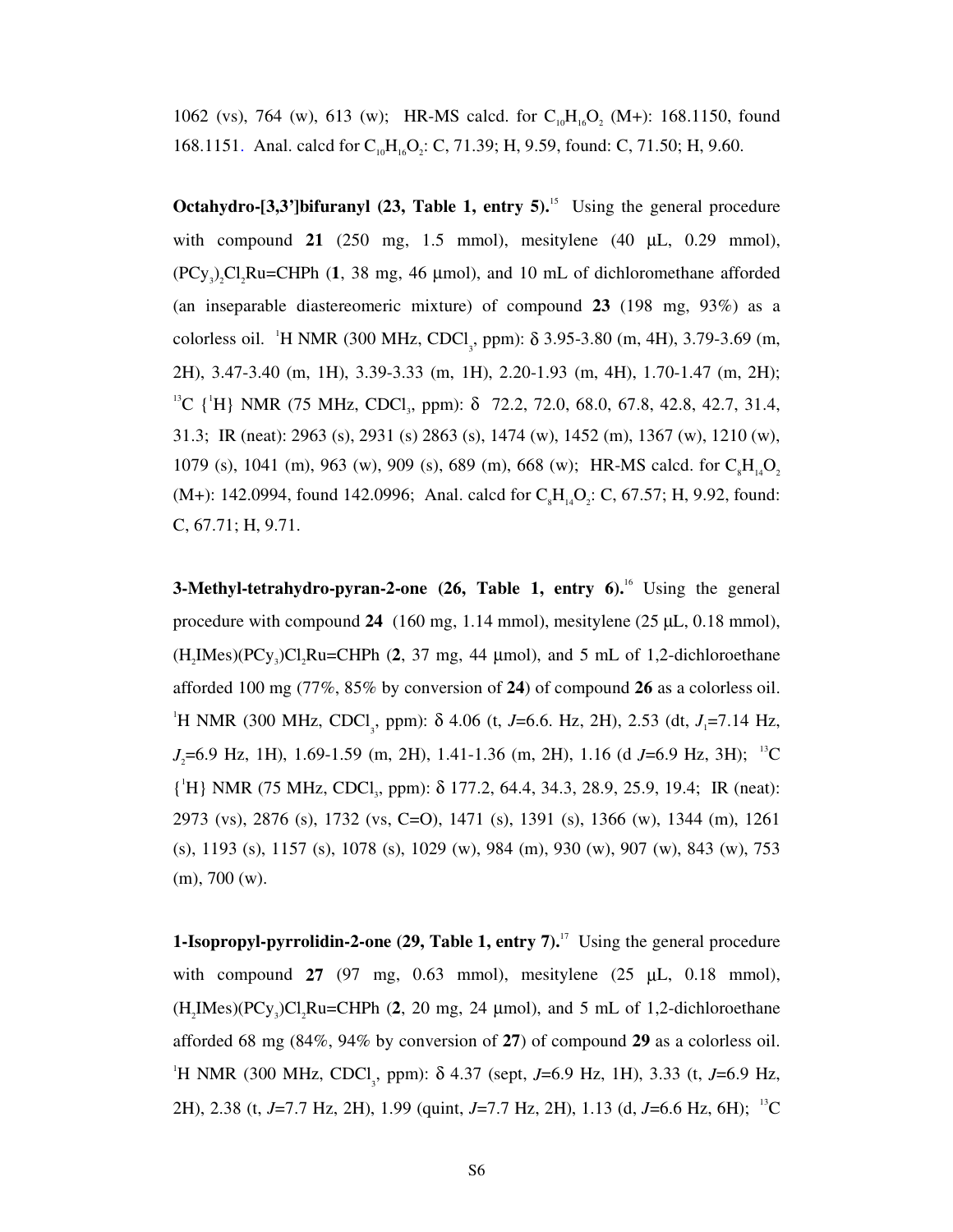1062 (vs), 764 (w), 613 (w); HR-MS calcd. for  $C_{10}H_{16}O_2$  (M+): 168.1150, found 168.1151. Anal. calcd for  $C_{10}H_{16}O_2$ : C, 71.39; H, 9.59, found: C, 71.50; H, 9.60.

**Octahydro-[3,3']bifuranyl (23, Table 1, entry 5).**<sup>15</sup> Using the general procedure with compound **21** (250 mg, 1.5 mmol), mesitylene (40 µL, 0.29 mmol),  $(PCy_3)$ , Cl<sub>3</sub>Ru=CHPh (1, 38 mg, 46 µmol), and 10 mL of dichloromethane afforded (an inseparable diastereomeric mixture) of compound **23** (198 mg, 93%) as a colorless oil. <sup>1</sup>H NMR (300 MHz, CDCl<sub>3</sub>, ppm):  $\delta$  3.95-3.80 (m, 4H), 3.79-3.69 (m, 2H), 3.47-3.40 (m, 1H), 3.39-3.33 (m, 1H), 2.20-1.93 (m, 4H), 1.70-1.47 (m, 2H); <sup>13</sup>C {<sup>1</sup>H} NMR (75 MHz, CDCl<sub>3</sub>, ppm): δ 72.2, 72.0, 68.0, 67.8, 42.8, 42.7, 31.4, 31.3; IR (neat): 2963 (s), 2931 (s) 2863 (s), 1474 (w), 1452 (m), 1367 (w), 1210 (w), 1079 (s), 1041 (m), 963 (w), 909 (s), 689 (m), 668 (w); HR-MS calcd. for  $C_8H_{14}O_2$ (M+): 142.0994, found 142.0996; Anal. calcd for  $C_sH_{14}O_2$ : C, 67.57; H, 9.92, found: C, 67.71; H, 9.71.

**3-Methyl-tetrahydro-pyran-2-one** (26, Table 1, entry 6).<sup>16</sup> Using the general procedure with compound 24 (160 mg, 1.14 mmol), mesitylene (25 µL, 0.18 mmol),  $(H_2$ IMes $)(PCy_3)Cl_2$ Ru=CHPh (2, 37 mg, 44  $\mu$ mol), and 5 mL of 1,2-dichloroethane afforded 100 mg (77%, 85% by conversion of **24**) of compound **26** as a colorless oil. <sup>1</sup>H NMR (300 MHz, CDCl<sub>3</sub>, ppm):  $\delta$  4.06 (t, *J*=6.6. Hz, 2H), 2.53 (dt, *J*<sub>1</sub>=7.14 Hz, *J*<sub>2</sub>=6.9 Hz, 1H), 1.69-1.59 (m, 2H), 1.41-1.36 (m, 2H), 1.16 (d *J*=6.9 Hz, 3H); <sup>13</sup>C {'H} NMR (75 MHz, CDCl<sub>3</sub>, ppm): δ 177.2, 64.4, 34.3, 28.9, 25.9, 19.4; IR (neat): 2973 (vs), 2876 (s), 1732 (vs, C=O), 1471 (s), 1391 (s), 1366 (w), 1344 (m), 1261 (s), 1193 (s), 1157 (s), 1078 (s), 1029 (w), 984 (m), 930 (w), 907 (w), 843 (w), 753 (m), 700 (w).

**1-Isopropyl-pyrrolidin-2-one (29, Table 1, entry 7).**<sup>17</sup> Using the general procedure with compound **27** (97 mg, 0.63 mmol), mesitylene (25 µL, 0.18 mmol),  $(H_2$ IMes $)(PCy_3)Cl_2$ Ru=CHPh (2, 20 mg, 24  $\mu$ mol), and 5 mL of 1,2-dichloroethane afforded 68 mg (84%, 94% by conversion of **27**) of compound **29** as a colorless oil. <sup>1</sup>H NMR (300 MHz, CDCl<sub>3</sub>, ppm): δ 4.37 (sept, *J*=6.9 Hz, 1H), 3.33 (t, *J*=6.9 Hz, 2H), 2.38 (t, *J*=7.7 Hz, 2H), 1.99 (quint, *J*=7.7 Hz, 2H), 1.13 (d, *J*=6.6 Hz, 6H); 13C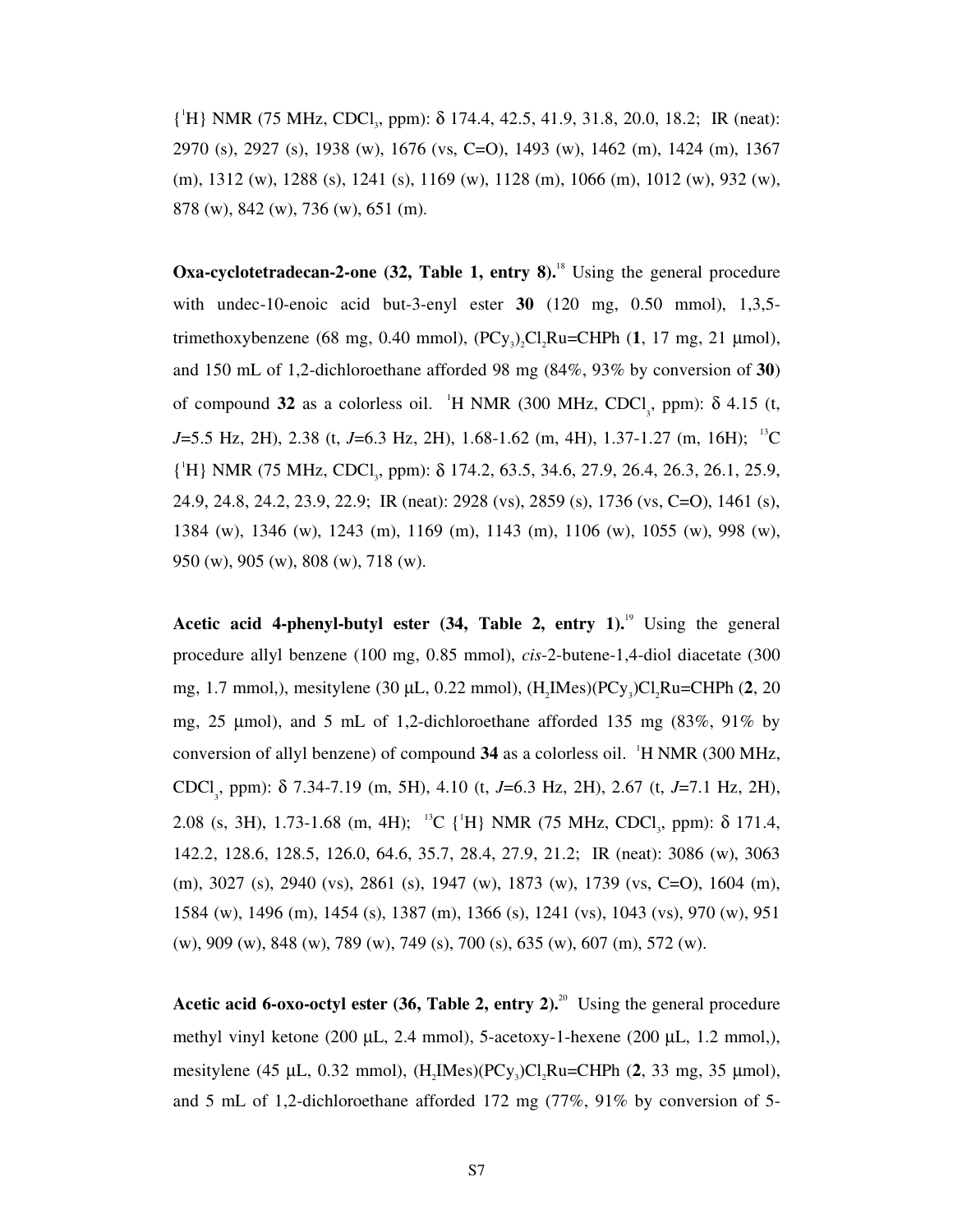{'H} NMR (75 MHz, CDCl<sub>3</sub>, ppm): δ 174.4, 42.5, 41.9, 31.8, 20.0, 18.2; IR (neat): 2970 (s), 2927 (s), 1938 (w), 1676 (vs, C=O), 1493 (w), 1462 (m), 1424 (m), 1367 (m), 1312 (w), 1288 (s), 1241 (s), 1169 (w), 1128 (m), 1066 (m), 1012 (w), 932 (w), 878 (w), 842 (w), 736 (w), 651 (m).

**Oxa-cyclotetradecan-2-one (32, Table 1, entry 8).**<sup>18</sup> Using the general procedure with undec-10-enoic acid but-3-enyl ester **30** (120 mg, 0.50 mmol), 1,3,5 trimethoxybenzene (68 mg, 0.40 mmol),  $(PCy)$ ,  $Cl$ ,  $Ru=CHPh$   $(1, 17$  mg, 21  $µ$ mol), and 150 mL of 1,2-dichloroethane afforded 98 mg (84%, 93% by conversion of **30**) of compound 32 as a colorless oil. <sup>1</sup>H NMR (300 MHz, CDCl<sub>3</sub>, ppm): δ 4.15 (t, *J*=5.5 Hz, 2H), 2.38 (t, *J*=6.3 Hz, 2H), 1.68-1.62 (m, 4H), 1.37-1.27 (m, 16H); <sup>13</sup>C { 1 H} NMR (75 MHz, CDCl3, ppm): δ 174.2, 63.5, 34.6, 27.9, 26.4, 26.3, 26.1, 25.9, 24.9, 24.8, 24.2, 23.9, 22.9; IR (neat): 2928 (vs), 2859 (s), 1736 (vs, C=O), 1461 (s), 1384 (w), 1346 (w), 1243 (m), 1169 (m), 1143 (m), 1106 (w), 1055 (w), 998 (w), 950 (w), 905 (w), 808 (w), 718 (w).

**Acetic acid 4-phenyl-butyl ester (34, Table 2, entry 1).**19 Using the general procedure allyl benzene (100 mg, 0.85 mmol), *cis*-2-butene-1,4-diol diacetate (300 mg, 1.7 mmol,), mesitylene (30 μL, 0.22 mmol), (H<sub>2</sub>IMes)(PCy<sub>3</sub>)Cl<sub>2</sub>Ru=CHPh (**2**, 20 mg, 25 µmol), and 5 mL of 1,2-dichloroethane afforded 135 mg (83%, 91% by conversion of allyl benzene) of compound 34 as a colorless oil. <sup>1</sup>H NMR (300 MHz, CDCl<sub>3</sub>, ppm): δ 7.34-7.19 (m, 5H), 4.10 (t, *J*=6.3 Hz, 2H), 2.67 (t, *J*=7.1 Hz, 2H), 2.08 (s, 3H), 1.73-1.68 (m, 4H); <sup>13</sup>C {<sup>1</sup>H} NMR (75 MHz, CDCl<sub>3</sub>, ppm):  $\delta$  171.4, 142.2, 128.6, 128.5, 126.0, 64.6, 35.7, 28.4, 27.9, 21.2; IR (neat): 3086 (w), 3063 (m), 3027 (s), 2940 (vs), 2861 (s), 1947 (w), 1873 (w), 1739 (vs, C=O), 1604 (m), 1584 (w), 1496 (m), 1454 (s), 1387 (m), 1366 (s), 1241 (vs), 1043 (vs), 970 (w), 951 (w), 909 (w), 848 (w), 789 (w), 749 (s), 700 (s), 635 (w), 607 (m), 572 (w).

Acetic acid 6-oxo-octyl ester (36, Table 2, entry 2).<sup>20</sup> Using the general procedure methyl vinyl ketone (200 µL, 2.4 mmol), 5-acetoxy-1-hexene (200 µL, 1.2 mmol,), mesitylene (45  $\mu$ L, 0.32 mmol), (H<sub>2</sub>IMes)(PC<sub>Y<sub>3</sub>)Cl<sub>3</sub>Ru=CHPh (2, 33 mg, 35  $\mu$ mol),</sub> and 5 mL of 1,2-dichloroethane afforded 172 mg (77%, 91% by conversion of 5-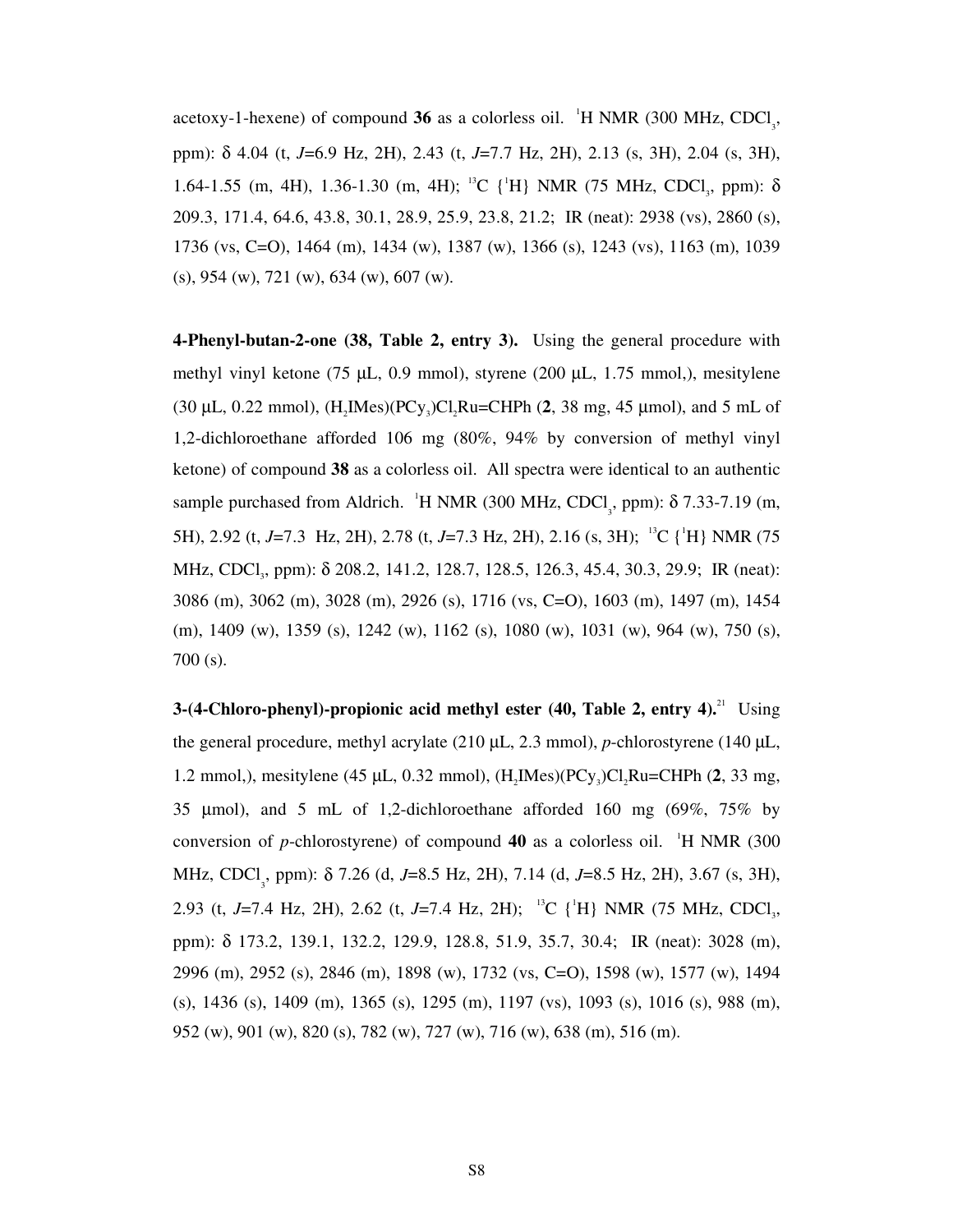acetoxy-1-hexene) of compound **36** as a colorless oil.  $H NMR$  (300 MHz, CDCl<sub>3</sub>, ppm): δ 4.04 (t, *J*=6.9 Hz, 2H), 2.43 (t, *J*=7.7 Hz, 2H), 2.13 (s, 3H), 2.04 (s, 3H), 1.64-1.55 (m, 4H), 1.36-1.30 (m, 4H); <sup>13</sup>C {<sup>1</sup>H} NMR (75 MHz, CDCl<sub>3</sub>, ppm): δ 209.3, 171.4, 64.6, 43.8, 30.1, 28.9, 25.9, 23.8, 21.2; IR (neat): 2938 (vs), 2860 (s), 1736 (vs, C=O), 1464 (m), 1434 (w), 1387 (w), 1366 (s), 1243 (vs), 1163 (m), 1039 (s), 954 (w), 721 (w), 634 (w), 607 (w).

**4-Phenyl-butan-2-one (38, Table 2, entry 3).** Using the general procedure with methyl vinyl ketone (75 µL, 0.9 mmol), styrene (200 µL, 1.75 mmol,), mesitylene  $(30 \mu L, 0.22 \text{ mmol})$ ,  $(H,$ IMes $)(PCV,$ <sub>2</sub> $)Cl,$ Ru=CHPh  $(2, 38 \text{ mg}, 45 \mu \text{mol})$ , and 5 mL of 1,2-dichloroethane afforded 106 mg (80%, 94% by conversion of methyl vinyl ketone) of compound **38** as a colorless oil. All spectra were identical to an authentic sample purchased from Aldrich. <sup>'</sup>H NMR (300 MHz, CDCl<sub>3</sub>, ppm):  $\delta$  7.33-7.19 (m, 5H), 2.92 (t, J=7.3 Hz, 2H), 2.78 (t, J=7.3 Hz, 2H), 2.16 (s, 3H); <sup>13</sup>C {<sup>1</sup>H} NMR (75) MHz, CDCl<sub>3</sub>, ppm): δ 208.2, 141.2, 128.7, 128.5, 126.3, 45.4, 30.3, 29.9; IR (neat): 3086 (m), 3062 (m), 3028 (m), 2926 (s), 1716 (vs, C=O), 1603 (m), 1497 (m), 1454 (m), 1409 (w), 1359 (s), 1242 (w), 1162 (s), 1080 (w), 1031 (w), 964 (w), 750 (s), 700 (s).

**3-(4-Chloro-phenyl)-propionic acid methyl ester (40, Table 2, entry 4).**21 Using the general procedure, methyl acrylate (210 µL, 2.3 mmol), *p*-chlorostyrene (140 µL, 1.2 mmol,), mesitylene (45  $\mu$ L, 0.32 mmol), (H<sub>2</sub>IMes)(PCy<sub>3</sub>)Cl<sub>2</sub>Ru=CHPh (2, 33 mg, 35 µmol), and 5 mL of 1,2-dichloroethane afforded 160 mg (69%, 75% by conversion of *p*-chlorostyrene) of compound  $40$  as a colorless oil. <sup>1</sup>H NMR (300 MHz, CDCl<sub>3</sub>, ppm): δ 7.26 (d, *J*=8.5 Hz, 2H), 7.14 (d, *J*=8.5 Hz, 2H), 3.67 (s, 3H), 2.93 (t, J=7.4 Hz, 2H), 2.62 (t, J=7.4 Hz, 2H); <sup>13</sup>C {<sup>1</sup>H} NMR (75 MHz, CDCl<sub>3</sub>, ppm): δ 173.2, 139.1, 132.2, 129.9, 128.8, 51.9, 35.7, 30.4; IR (neat): 3028 (m), 2996 (m), 2952 (s), 2846 (m), 1898 (w), 1732 (vs, C=O), 1598 (w), 1577 (w), 1494 (s), 1436 (s), 1409 (m), 1365 (s), 1295 (m), 1197 (vs), 1093 (s), 1016 (s), 988 (m), 952 (w), 901 (w), 820 (s), 782 (w), 727 (w), 716 (w), 638 (m), 516 (m).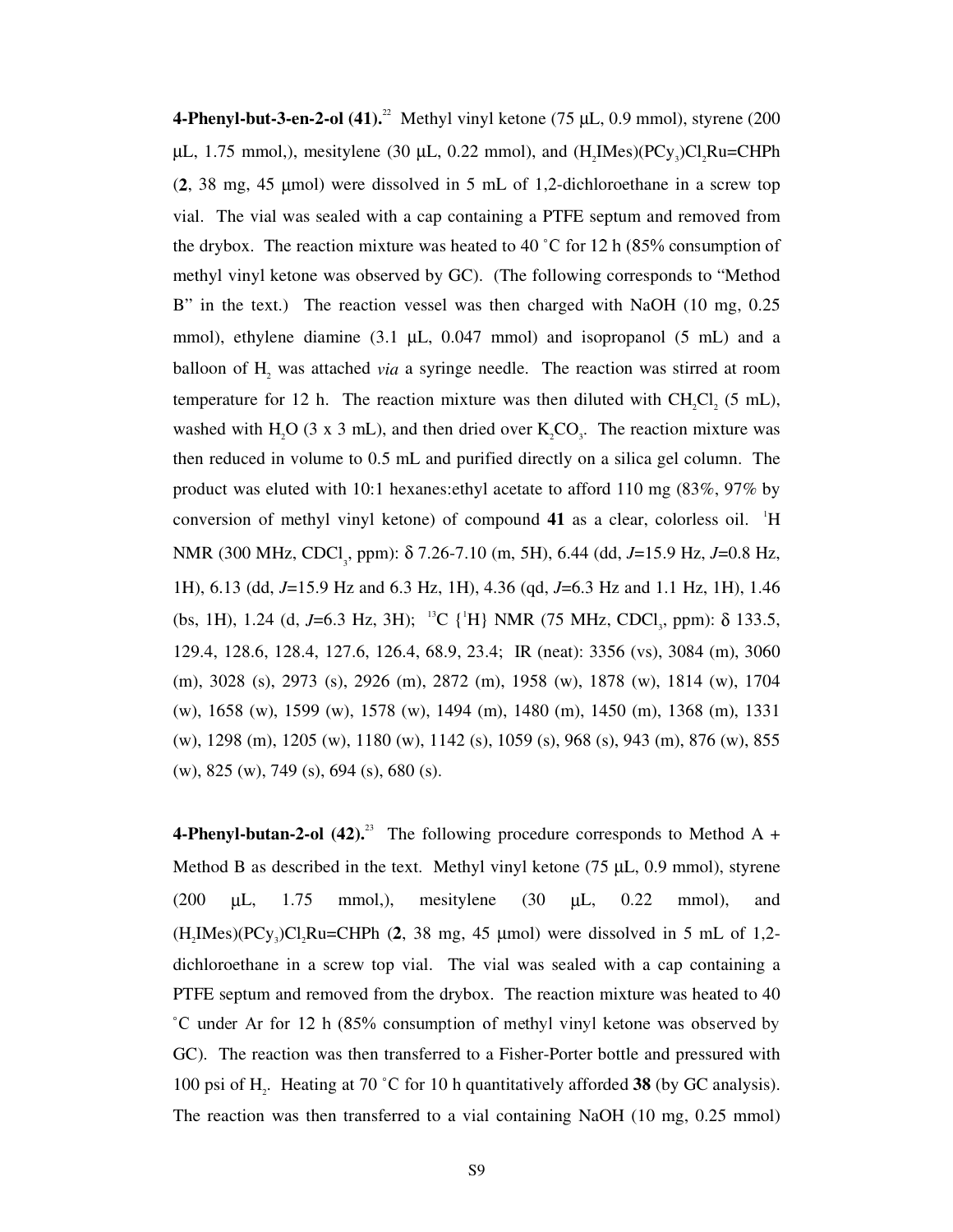**4-Phenyl-but-3-en-2-ol (41).**<sup>22</sup> Methyl vinyl ketone (75  $\mu$ L, 0.9 mmol), styrene (200)  $\mu$ L, 1.75 mmol,), mesitylene (30  $\mu$ L, 0.22 mmol), and (H<sub>2</sub>IMes)(PCy<sub>3</sub>)Cl<sub>2</sub>Ru=CHPh (**2**, 38 mg, 45 µmol) were dissolved in 5 mL of 1,2-dichloroethane in a screw top vial. The vial was sealed with a cap containing a PTFE septum and removed from the drybox. The reaction mixture was heated to 40 °C for 12 h (85% consumption of methyl vinyl ketone was observed by GC). (The following corresponds to "Method B" in the text.) The reaction vessel was then charged with NaOH (10 mg, 0.25 mmol), ethylene diamine (3.1 µL, 0.047 mmol) and isopropanol (5 mL) and a balloon of H<sub>2</sub> was attached *via* a syringe needle. The reaction was stirred at room temperature for 12 h. The reaction mixture was then diluted with  $CH_2Cl_2$  (5 mL), washed with H<sub>2</sub>O (3 x 3 mL), and then dried over  $K_2CO_3$ . The reaction mixture was then reduced in volume to 0.5 mL and purified directly on a silica gel column. The product was eluted with 10:1 hexanes:ethyl acetate to afford 110 mg (83%, 97% by conversion of methyl vinyl ketone) of compound 41 as a clear, colorless oil. <sup>1</sup>H NMR (300 MHz, CDCl<sub>3</sub>, ppm): δ 7.26-7.10 (m, 5H), 6.44 (dd, *J*=15.9 Hz, *J*=0.8 Hz, 1H), 6.13 (dd, *J*=15.9 Hz and 6.3 Hz, 1H), 4.36 (qd, *J*=6.3 Hz and 1.1 Hz, 1H), 1.46 (bs, 1H), 1.24 (d, J=6.3 Hz, 3H); <sup>13</sup>C {<sup>1</sup>H} NMR (75 MHz, CDCl<sub>3</sub>, ppm): δ 133.5, 129.4, 128.6, 128.4, 127.6, 126.4, 68.9, 23.4; IR (neat): 3356 (vs), 3084 (m), 3060 (m), 3028 (s), 2973 (s), 2926 (m), 2872 (m), 1958 (w), 1878 (w), 1814 (w), 1704 (w), 1658 (w), 1599 (w), 1578 (w), 1494 (m), 1480 (m), 1450 (m), 1368 (m), 1331 (w), 1298 (m), 1205 (w), 1180 (w), 1142 (s), 1059 (s), 968 (s), 943 (m), 876 (w), 855 (w), 825 (w), 749 (s), 694 (s), 680 (s).

**4-Phenyl-butan-2-ol (42).**<sup>23</sup> The following procedure corresponds to Method A + Method B as described in the text. Methyl vinyl ketone  $(75 \mu L, 0.9 \text{ mmol})$ , styrene (200 µL, 1.75 mmol,), mesitylene (30 µL, 0.22 mmol), and  $(H_2Mes)(PCy_3)Cl_2Ru=CHPh$  (2, 38 mg, 45 µmol) were dissolved in 5 mL of 1,2dichloroethane in a screw top vial. The vial was sealed with a cap containing a PTFE septum and removed from the drybox. The reaction mixture was heated to 40 °C under Ar for 12 h (85% consumption of methyl vinyl ketone was observed by GC). The reaction was then transferred to a Fisher-Porter bottle and pressured with 100 psi of  $H_2$ . Heating at 70 °C for 10 h quantitatively afforded **38** (by GC analysis). The reaction was then transferred to a vial containing NaOH (10 mg, 0.25 mmol)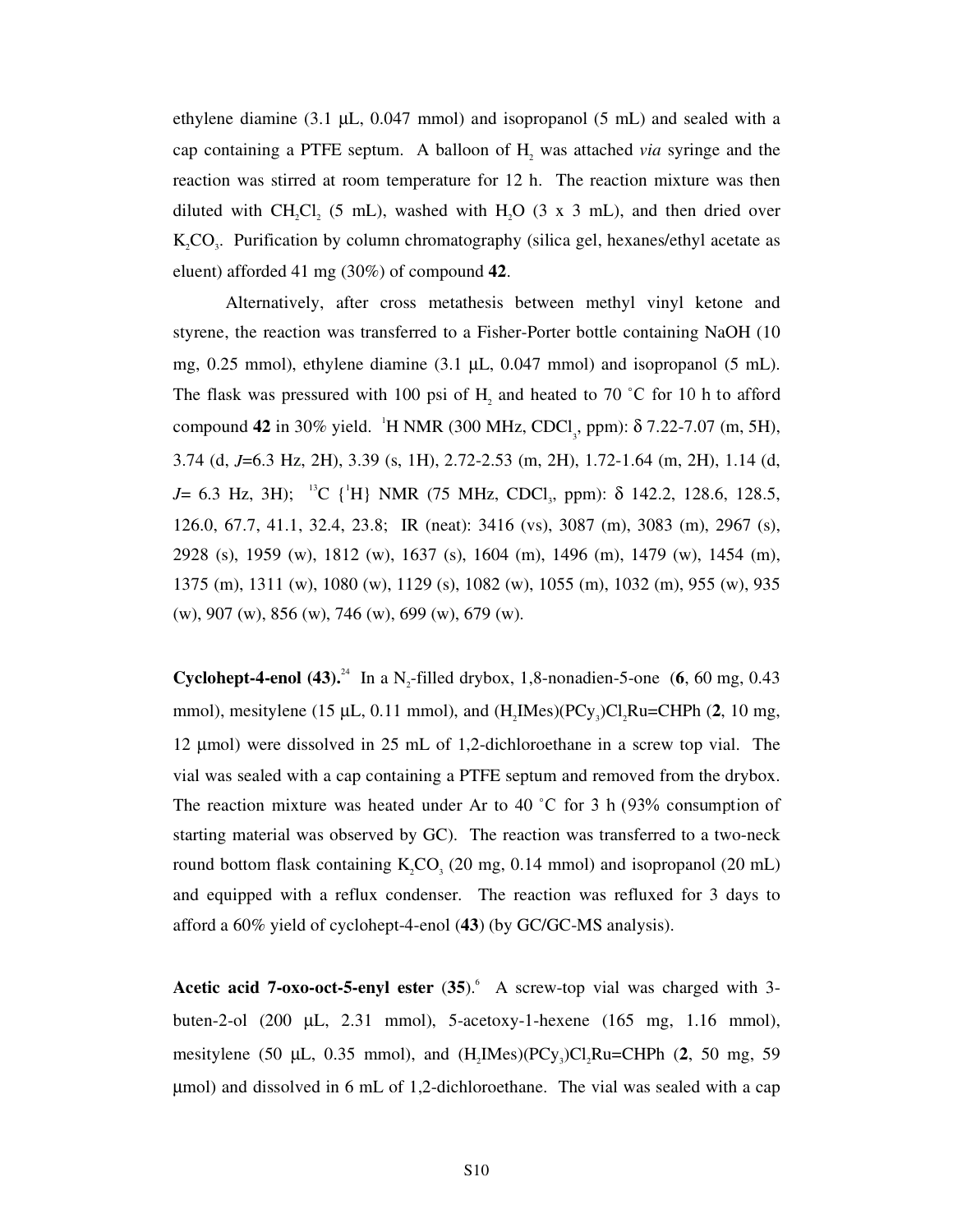ethylene diamine  $(3.1 \mu L, 0.047 \text{ mmol})$  and isopropanol  $(5 \text{ mL})$  and sealed with a cap containing a PTFE septum. A balloon of  $H_2$  was attached *via* syringe and the reaction was stirred at room temperature for 12 h. The reaction mixture was then diluted with  $CH_2Cl_2$  (5 mL), washed with H<sub>2</sub>O (3 x 3 mL), and then dried over  $K_2CO_3$ . Purification by column chromatography (silica gel, hexanes/ethyl acetate as eluent) afforded 41 mg (30%) of compound **42**.

Alternatively, after cross metathesis between methyl vinyl ketone and styrene, the reaction was transferred to a Fisher-Porter bottle containing NaOH (10 mg, 0.25 mmol), ethylene diamine  $(3.1 \mu L, 0.047 \text{ mmol})$  and isopropanol  $(5 \text{ mL})$ . The flask was pressured with 100 psi of  $H_2$  and heated to 70 °C for 10 h to afford compound **42** in 30% yield. <sup>1</sup>H NMR (300 MHz, CDCl<sub>3</sub>, ppm): δ 7.22-7.07 (m, 5H), 3.74 (d, *J*=6.3 Hz, 2H), 3.39 (s, 1H), 2.72-2.53 (m, 2H), 1.72-1.64 (m, 2H), 1.14 (d, *J*= 6.3 Hz, 3H); <sup>13</sup>C {<sup>1</sup>H} NMR (75 MHz, CDCl<sub>3</sub>, ppm): δ 142.2, 128.6, 128.5, 126.0, 67.7, 41.1, 32.4, 23.8; IR (neat): 3416 (vs), 3087 (m), 3083 (m), 2967 (s), 2928 (s), 1959 (w), 1812 (w), 1637 (s), 1604 (m), 1496 (m), 1479 (w), 1454 (m), 1375 (m), 1311 (w), 1080 (w), 1129 (s), 1082 (w), 1055 (m), 1032 (m), 955 (w), 935 (w), 907 (w), 856 (w), 746 (w), 699 (w), 679 (w).

**Cyclohept-4-enol (43).<sup>24</sup>** In a N<sub>2</sub>-filled drybox, 1,8-nonadien-5-one (6, 60 mg, 0.43) mmol), mesitylene (15  $\mu$ L, 0.11 mmol), and (H<sub>2</sub>IMes)(PCy<sub>3</sub>)Cl<sub>2</sub>Ru=CHPh (2, 10 mg, 12 µmol) were dissolved in 25 mL of 1,2-dichloroethane in a screw top vial. The vial was sealed with a cap containing a PTFE septum and removed from the drybox. The reaction mixture was heated under Ar to 40 °C for 3 h  $(93\%$  consumption of starting material was observed by GC). The reaction was transferred to a two-neck round bottom flask containing  $K_2CO_3$  (20 mg, 0.14 mmol) and isopropanol (20 mL) and equipped with a reflux condenser. The reaction was refluxed for 3 days to afford a 60% yield of cyclohept-4-enol (**43**) (by GC/GC-MS analysis).

Acetic acid 7-oxo-oct-5-enyl ester  $(35)$ . A screw-top vial was charged with 3buten-2-ol (200 µL, 2.31 mmol), 5-acetoxy-1-hexene (165 mg, 1.16 mmol), mesitylene (50  $\mu$ L, 0.35 mmol), and (H<sub>2</sub>IMes)(PCy<sub>3</sub>)Cl<sub>3</sub>Ru=CHPh (2, 50 mg, 59 µmol) and dissolved in 6 mL of 1,2-dichloroethane. The vial was sealed with a cap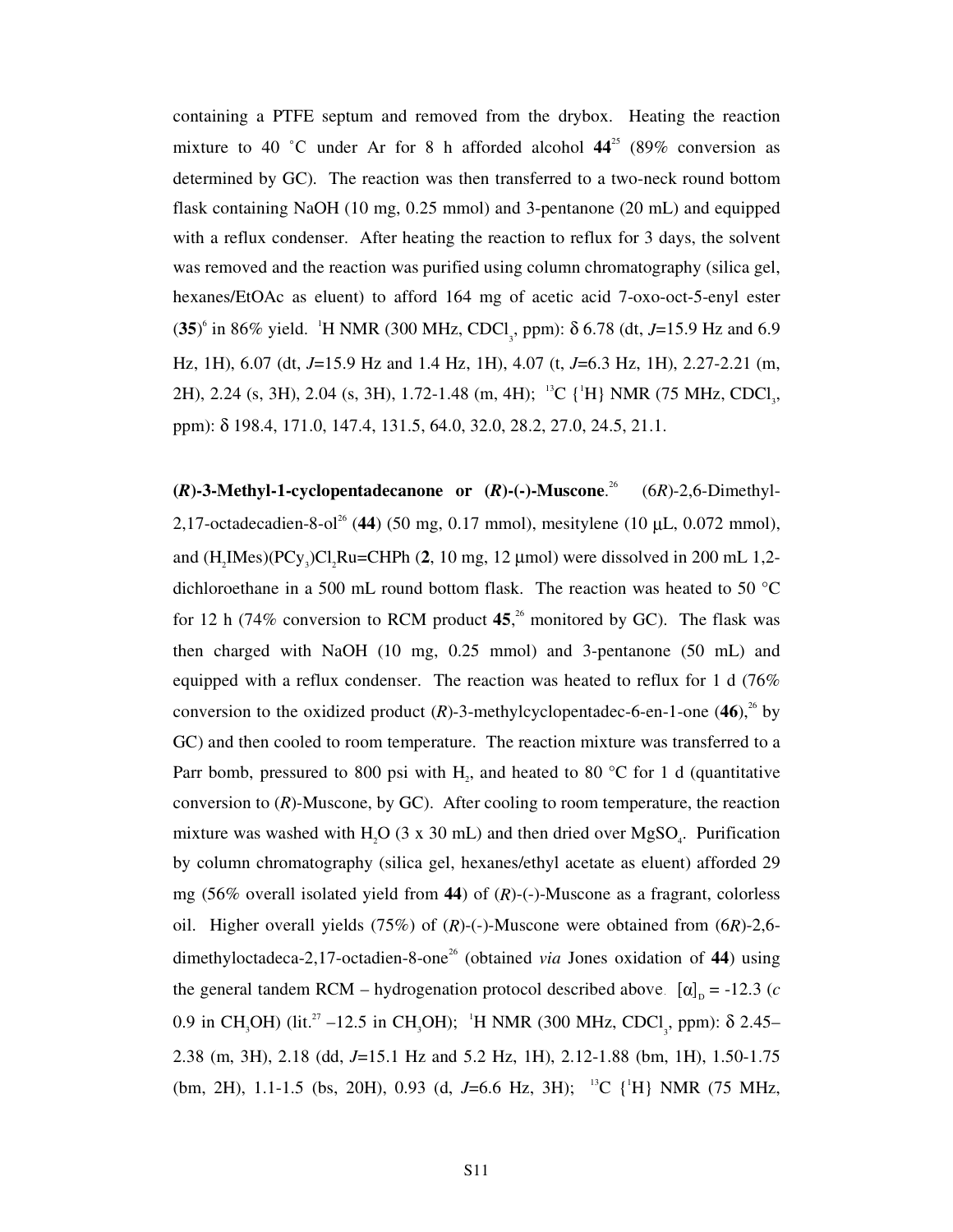containing a PTFE septum and removed from the drybox. Heating the reaction mixture to 40 °C under Ar for 8 h afforded alcohol  $44^{25}$  (89% conversion as determined by GC). The reaction was then transferred to a two-neck round bottom flask containing NaOH (10 mg, 0.25 mmol) and 3-pentanone (20 mL) and equipped with a reflux condenser. After heating the reaction to reflux for 3 days, the solvent was removed and the reaction was purified using column chromatography (silica gel, hexanes/EtOAc as eluent) to afford 164 mg of acetic acid 7-oxo-oct-5-enyl ester (35)<sup>6</sup> in 86% yield. <sup>1</sup>H NMR (300 MHz, CDCl<sub>3</sub>, ppm): δ 6.78 (dt, *J*=15.9 Hz and 6.9 Hz, 1H), 6.07 (dt, *J*=15.9 Hz and 1.4 Hz, 1H), 4.07 (t, *J*=6.3 Hz, 1H), 2.27-2.21 (m, 2H), 2.24 (s, 3H), 2.04 (s, 3H), 1.72-1.48 (m, 4H); <sup>13</sup>C {<sup>1</sup>H} NMR (75 MHz, CDCl<sub>3</sub>, ppm): δ 198.4, 171.0, 147.4, 131.5, 64.0, 32.0, 28.2, 27.0, 24.5, 21.1.

**(***R***)-3-Methyl-1-cyclopentadecanone or (***R***)-(-)-Muscone**.  $(6R)$ -2,6-Dimethyl-2,17-octadecadien-8-ol<sup>26</sup> (44) (50 mg, 0.17 mmol), mesitylene (10  $\mu$ L, 0.072 mmol), and  $(H_2$ IMes $)(PCy_3)Cl_2$ Ru=CHPh  $(2, 10 \text{ mg}, 12 \text{ \mu}$ mol) were dissolved in 200 mL 1,2dichloroethane in a 500 mL round bottom flask. The reaction was heated to 50 °C for 12 h (74% conversion to RCM product  $45$ ,<sup>26</sup> monitored by GC). The flask was then charged with NaOH (10 mg, 0.25 mmol) and 3-pentanone (50 mL) and equipped with a reflux condenser. The reaction was heated to reflux for 1 d (76% conversion to the oxidized product  $(R)$ -3-methylcyclopentadec-6-en-1-one  $(46)$ ,<sup>26</sup> by GC) and then cooled to room temperature. The reaction mixture was transferred to a Parr bomb, pressured to 800 psi with  $H_2$ , and heated to 80 °C for 1 d (quantitative conversion to (*R*)-Muscone, by GC). After cooling to room temperature, the reaction mixture was washed with H<sub>2</sub>O (3 x 30 mL) and then dried over MgSO<sub>4</sub>. Purification by column chromatography (silica gel, hexanes/ethyl acetate as eluent) afforded 29 mg (56% overall isolated yield from **44**) of (*R*)-(-)-Muscone as a fragrant, colorless oil. Higher overall yields (75%) of (*R*)-(-)-Muscone were obtained from (6*R*)-2,6 dimethyloctadeca-2,17-octadien-8-one<sup>26</sup> (obtained *via* Jones oxidation of 44) using the general tandem RCM – hydrogenation protocol described above.  $[\alpha]_p = -12.3$  (*c* 0.9 in CH<sub>3</sub>OH) (lit.<sup>27</sup> –12.5 in CH<sub>3</sub>OH); <sup>1</sup>H NMR (300 MHz, CDCl<sub>3</sub>, ppm): δ 2.45– 2.38 (m, 3H), 2.18 (dd, *J*=15.1 Hz and 5.2 Hz, 1H), 2.12-1.88 (bm, 1H), 1.50-1.75 (bm, 2H), 1.1-1.5 (bs, 20H), 0.93 (d, J=6.6 Hz, 3H); <sup>13</sup>C {<sup>1</sup>H} NMR (75 MHz,